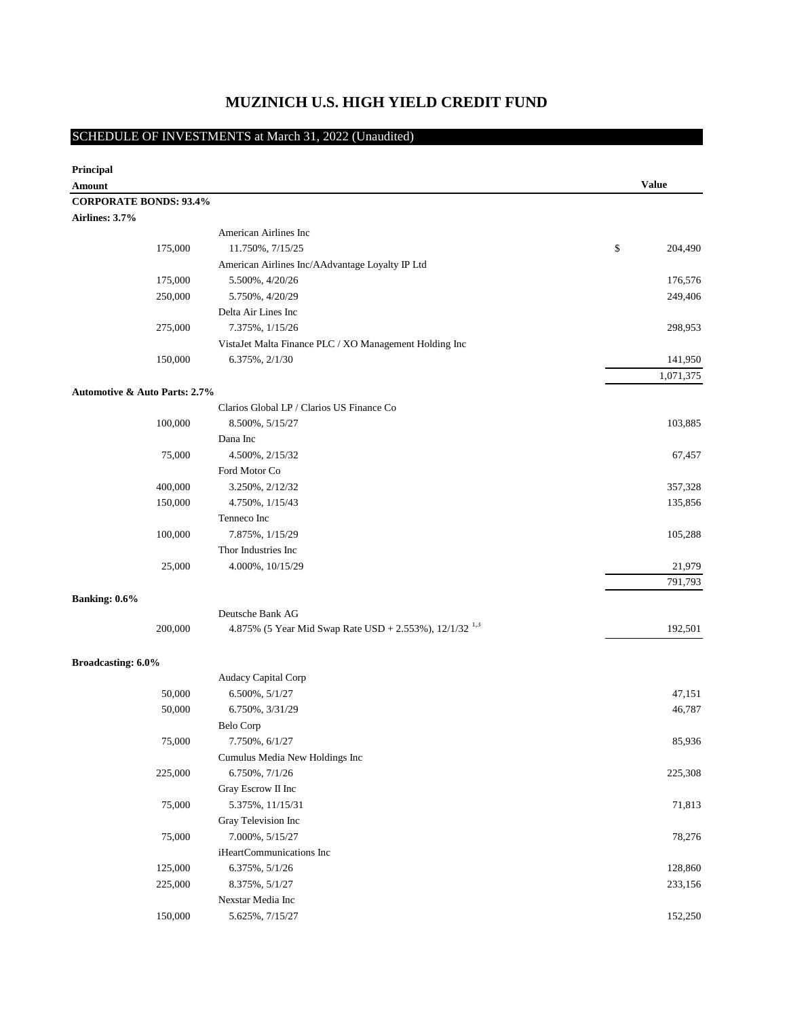## **MUZINICH U.S. HIGH YIELD CREDIT FUND**

## SCHEDULE OF INVESTMENTS at March 31, 2022 (Unaudited)

| Principal                                |         |                                                             |               |
|------------------------------------------|---------|-------------------------------------------------------------|---------------|
| Amount                                   |         |                                                             | <b>Value</b>  |
| <b>CORPORATE BONDS: 93.4%</b>            |         |                                                             |               |
| Airlines: 3.7%                           |         |                                                             |               |
|                                          |         | American Airlines Inc                                       |               |
|                                          | 175,000 | 11.750%, 7/15/25                                            | \$<br>204,490 |
|                                          |         | American Airlines Inc/AAdvantage Loyalty IP Ltd             |               |
|                                          | 175,000 | 5.500%, 4/20/26                                             | 176,576       |
|                                          | 250,000 | 5.750%, 4/20/29                                             | 249,406       |
|                                          |         | Delta Air Lines Inc                                         |               |
|                                          | 275,000 | 7.375%, 1/15/26                                             | 298,953       |
|                                          |         | VistaJet Malta Finance PLC / XO Management Holding Inc      |               |
|                                          | 150,000 | 6.375%, 2/1/30                                              | 141,950       |
|                                          |         |                                                             | 1,071,375     |
| <b>Automotive &amp; Auto Parts: 2.7%</b> |         |                                                             |               |
|                                          |         | Clarios Global LP / Clarios US Finance Co                   |               |
|                                          | 100,000 | 8.500%, 5/15/27                                             | 103,885       |
|                                          |         | Dana Inc                                                    |               |
|                                          | 75,000  | 4.500%, 2/15/32                                             | 67,457        |
|                                          |         | Ford Motor Co                                               |               |
|                                          | 400,000 | 3.250%, 2/12/32                                             | 357,328       |
|                                          | 150,000 | 4.750%, 1/15/43                                             | 135,856       |
|                                          |         | Tenneco Inc                                                 |               |
|                                          | 100,000 | 7.875%, 1/15/29                                             | 105,288       |
|                                          |         | Thor Industries Inc                                         |               |
|                                          | 25,000  | 4.000%, 10/15/29                                            | 21,979        |
|                                          |         |                                                             | 791,793       |
| Banking: 0.6%                            |         |                                                             |               |
|                                          |         | Deutsche Bank AG                                            |               |
|                                          | 200,000 | 4.875% (5 Year Mid Swap Rate USD + 2.553%), $12/1/32^{1.3}$ | 192,501       |
| Broadcasting: 6.0%                       |         |                                                             |               |
|                                          |         | Audacy Capital Corp                                         |               |
|                                          | 50,000  | 6.500%, 5/1/27                                              | 47,151        |
|                                          | 50,000  | 6.750%, 3/31/29                                             | 46,787        |
|                                          |         | Belo Corp                                                   |               |
|                                          | 75,000  | 7.750%, 6/1/27                                              | 85,936        |
|                                          |         | Cumulus Media New Holdings Inc                              |               |
|                                          | 225,000 | 6.750%, 7/1/26                                              | 225,308       |
|                                          |         | Gray Escrow II Inc                                          |               |
|                                          | 75,000  | 5.375%, 11/15/31                                            | 71,813        |
|                                          |         | Gray Television Inc                                         |               |
|                                          | 75,000  | 7.000%, 5/15/27                                             | 78,276        |
|                                          |         | iHeartCommunications Inc                                    |               |
|                                          | 125,000 | 6.375%, 5/1/26                                              | 128,860       |
|                                          | 225,000 | 8.375%, 5/1/27                                              | 233,156       |
|                                          |         | Nexstar Media Inc                                           |               |
|                                          | 150,000 | 5.625%, 7/15/27                                             | 152,250       |
|                                          |         |                                                             |               |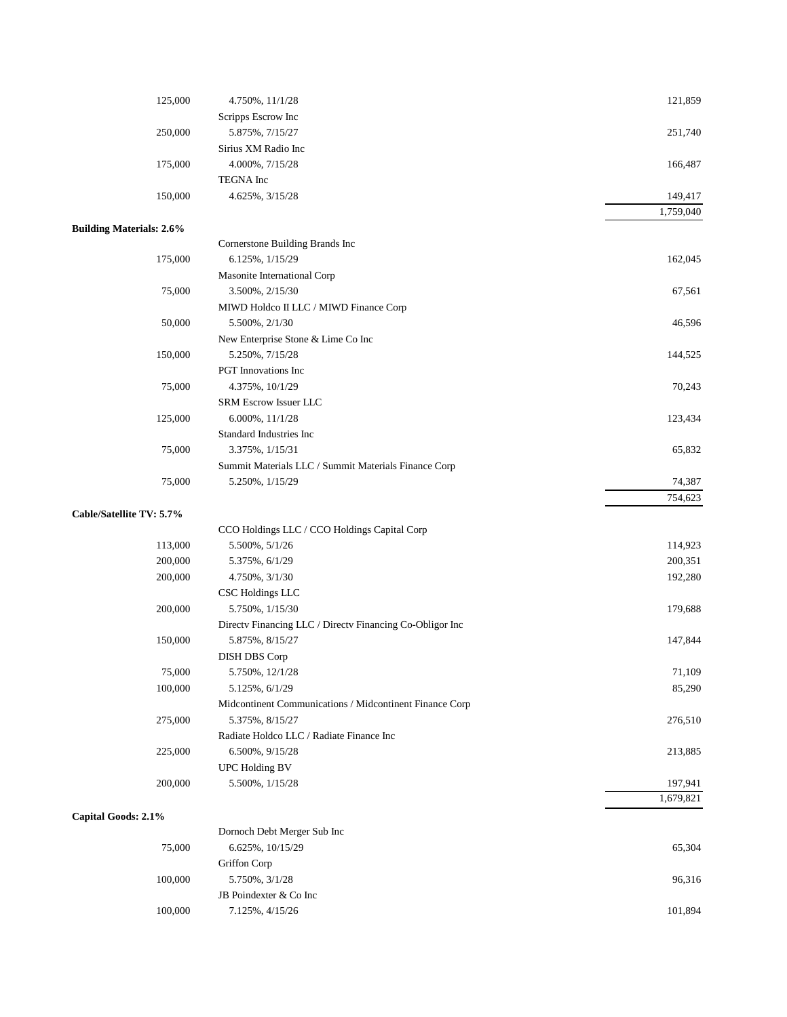| 125,000                         | 4.750%, 11/1/28                                          | 121,859   |
|---------------------------------|----------------------------------------------------------|-----------|
|                                 | Scripps Escrow Inc                                       |           |
| 250,000                         | 5.875%, 7/15/27                                          | 251,740   |
|                                 | Sirius XM Radio Inc                                      |           |
| 175,000                         | 4.000%, 7/15/28                                          | 166,487   |
|                                 | TEGNA Inc                                                |           |
| 150,000                         | 4.625%, 3/15/28                                          | 149,417   |
|                                 |                                                          | 1,759,040 |
| <b>Building Materials: 2.6%</b> |                                                          |           |
|                                 | Cornerstone Building Brands Inc                          |           |
| 175,000                         | 6.125%, 1/15/29                                          | 162,045   |
|                                 | Masonite International Corp                              |           |
| 75,000                          | 3.500%, 2/15/30                                          | 67,561    |
|                                 | MIWD Holdco II LLC / MIWD Finance Corp                   |           |
| 50,000                          | 5.500%, 2/1/30                                           | 46,596    |
|                                 | New Enterprise Stone & Lime Co Inc                       |           |
| 150,000                         | 5.250%, 7/15/28                                          | 144,525   |
|                                 | PGT Innovations Inc                                      |           |
| 75,000                          | 4.375%, 10/1/29                                          | 70,243    |
|                                 | SRM Escrow Issuer LLC                                    |           |
| 125,000                         | $6.000\%, 11/1/28$                                       | 123,434   |
|                                 | Standard Industries Inc                                  |           |
| 75,000                          | 3.375%, 1/15/31                                          | 65,832    |
|                                 | Summit Materials LLC / Summit Materials Finance Corp     |           |
| 75,000                          | 5.250%, $1/15/29$                                        | 74,387    |
|                                 |                                                          | 754,623   |
| Cable/Satellite TV: 5.7%        |                                                          |           |
|                                 | CCO Holdings LLC / CCO Holdings Capital Corp             |           |
| 113,000                         | 5.500%, 5/1/26                                           | 114,923   |
| 200,000                         | 5.375%, 6/1/29                                           | 200,351   |
| 200,000                         | 4.750%, 3/1/30                                           | 192,280   |
|                                 | <b>CSC Holdings LLC</b>                                  |           |
| 200,000                         | 5.750%, $1/15/30$                                        | 179,688   |
|                                 | Directv Financing LLC / Directv Financing Co-Obligor Inc |           |
| 150,000                         | 5.875%, 8/15/27                                          | 147,844   |
|                                 | <b>DISH DBS Corp</b>                                     |           |
| 75,000                          | 5.750%, 12/1/28                                          | 71,109    |
| 100,000                         | 5.125%, 6/1/29                                           | 85,290    |
|                                 | Midcontinent Communications / Midcontinent Finance Corp  |           |
| 275,000                         | 5.375%, 8/15/27                                          | 276,510   |
|                                 | Radiate Holdco LLC / Radiate Finance Inc                 |           |
| 225,000                         | 6.500%, 9/15/28                                          | 213,885   |
|                                 | UPC Holding BV                                           |           |
| 200,000                         | 5.500%, $1/15/28$                                        | 197,941   |
|                                 |                                                          | 1,679,821 |
| Capital Goods: 2.1%             |                                                          |           |
|                                 | Dornoch Debt Merger Sub Inc                              |           |
| 75,000                          | 6.625%, 10/15/29                                         | 65,304    |
|                                 | Griffon Corp                                             |           |
| 100,000                         | 5.750%, 3/1/28                                           | 96,316    |
|                                 | JB Poindexter & Co Inc                                   |           |
| 100,000                         | 7.125%, 4/15/26                                          | 101,894   |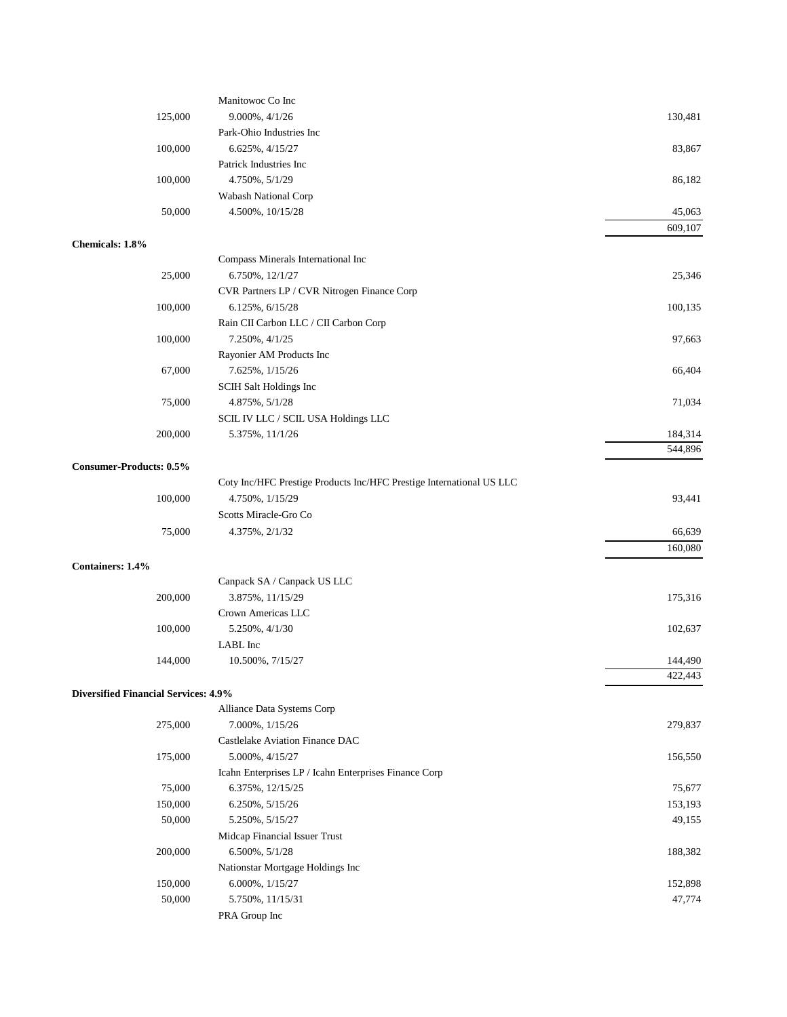|                                             | Manitowoc Co Inc                                                     |         |
|---------------------------------------------|----------------------------------------------------------------------|---------|
| 125,000                                     | 9.000%, 4/1/26                                                       | 130,481 |
|                                             | Park-Ohio Industries Inc                                             |         |
| 100,000                                     | 6.625%, 4/15/27                                                      | 83,867  |
|                                             | Patrick Industries Inc                                               |         |
| 100,000                                     | 4.750%, 5/1/29                                                       | 86,182  |
|                                             | Wabash National Corp                                                 |         |
| 50,000                                      | 4.500%, 10/15/28                                                     | 45,063  |
|                                             |                                                                      | 609,107 |
| Chemicals: 1.8%                             |                                                                      |         |
|                                             | Compass Minerals International Inc                                   |         |
| 25,000                                      | 6.750%, 12/1/27                                                      | 25,346  |
|                                             | CVR Partners LP / CVR Nitrogen Finance Corp                          |         |
| 100,000                                     | 6.125%, 6/15/28                                                      | 100,135 |
|                                             | Rain CII Carbon LLC / CII Carbon Corp                                |         |
| 100,000                                     | 7.250%, 4/1/25                                                       | 97,663  |
|                                             | Rayonier AM Products Inc                                             |         |
| 67,000                                      | 7.625%, 1/15/26                                                      | 66,404  |
|                                             | SCIH Salt Holdings Inc                                               |         |
| 75,000                                      | 4.875%, 5/1/28                                                       | 71,034  |
|                                             | SCIL IV LLC / SCIL USA Holdings LLC                                  |         |
| 200,000                                     | 5.375%, 11/1/26                                                      | 184,314 |
|                                             |                                                                      | 544,896 |
| <b>Consumer-Products: 0.5%</b>              |                                                                      |         |
|                                             | Coty Inc/HFC Prestige Products Inc/HFC Prestige International US LLC |         |
| 100,000                                     | 4.750%, 1/15/29                                                      | 93,441  |
|                                             | Scotts Miracle-Gro Co                                                |         |
| 75,000                                      | 4.375%, 2/1/32                                                       | 66,639  |
|                                             |                                                                      | 160,080 |
| <b>Containers: 1.4%</b>                     |                                                                      |         |
|                                             | Canpack SA / Canpack US LLC                                          |         |
| 200,000                                     | 3.875%, 11/15/29                                                     | 175,316 |
|                                             | Crown Americas LLC                                                   |         |
| 100,000                                     | 5.250%, 4/1/30                                                       | 102,637 |
|                                             | LABL Inc                                                             |         |
| 144,000                                     | 10.500%, 7/15/27                                                     | 144,490 |
|                                             |                                                                      | 422,443 |
| <b>Diversified Financial Services: 4.9%</b> |                                                                      |         |
|                                             | Alliance Data Systems Corp                                           |         |
| 275,000                                     | 7.000%, 1/15/26                                                      | 279,837 |
|                                             | Castlelake Aviation Finance DAC                                      |         |
| 175,000                                     | 5.000%, 4/15/27                                                      | 156,550 |
|                                             | Icahn Enterprises LP / Icahn Enterprises Finance Corp                |         |
| 75,000                                      | 6.375%, 12/15/25                                                     | 75,677  |
| 150,000                                     | 6.250%, 5/15/26                                                      | 153,193 |
| 50,000                                      | 5.250%, 5/15/27                                                      | 49,155  |
|                                             | Midcap Financial Issuer Trust                                        |         |
| 200,000                                     | 6.500%, 5/1/28                                                       | 188,382 |
|                                             | Nationstar Mortgage Holdings Inc                                     |         |
| 150,000                                     | 6.000%, 1/15/27                                                      | 152,898 |
| 50,000                                      | 5.750%, 11/15/31                                                     | 47,774  |
|                                             | PRA Group Inc                                                        |         |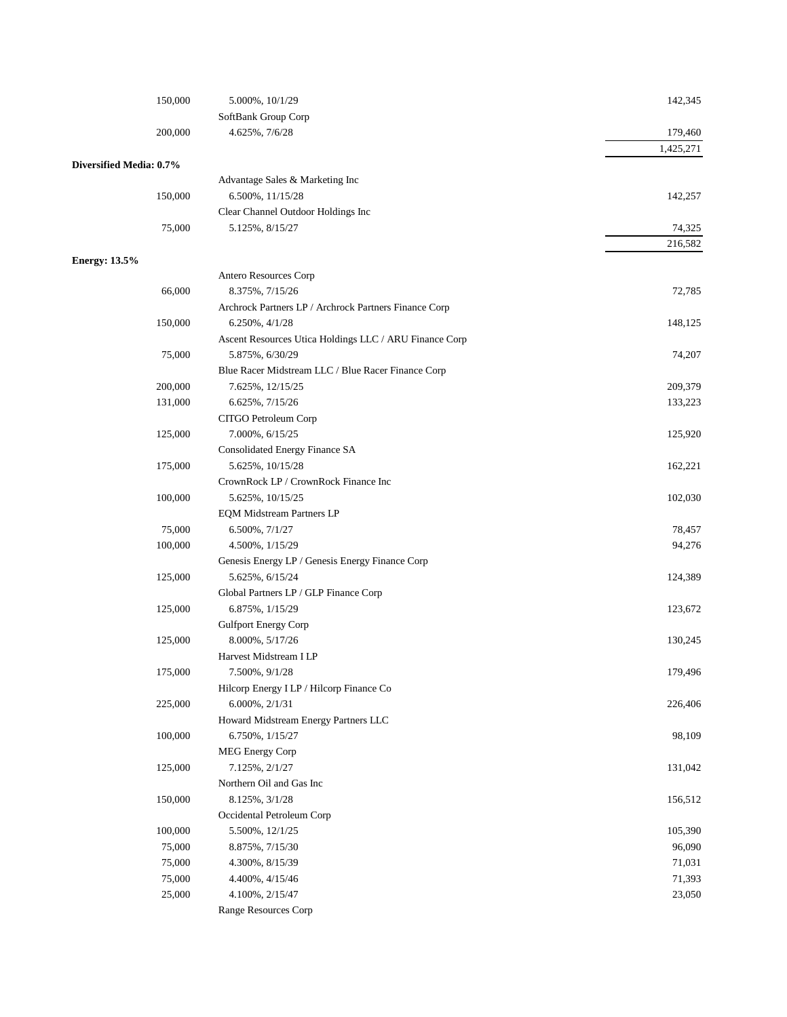| SoftBank Group Corp<br>200,000<br>4.625%, 7/6/28<br>179,460<br>1,425,271<br>Diversified Media: 0.7%<br>Advantage Sales & Marketing Inc<br>150,000<br>6.500%, 11/15/28<br>142,257<br>Clear Channel Outdoor Holdings Inc<br>75,000<br>5.125%, 8/15/27<br>74,325<br>216,582<br><b>Energy: 13.5%</b><br>Antero Resources Corp<br>66,000<br>8.375%, 7/15/26<br>72,785<br>Archrock Partners LP / Archrock Partners Finance Corp<br>150,000<br>$6.250\%, 4/1/28$<br>148,125<br>Ascent Resources Utica Holdings LLC / ARU Finance Corp<br>75,000<br>5.875%, 6/30/29<br>74,207<br>Blue Racer Midstream LLC / Blue Racer Finance Corp<br>200,000<br>7.625%, 12/15/25<br>209,379<br>131,000<br>6.625%, 7/15/26<br>133,223<br>CITGO Petroleum Corp<br>125,000<br>125,920<br>7.000%, 6/15/25<br>Consolidated Energy Finance SA<br>175,000<br>5.625%, 10/15/28<br>162,221<br>CrownRock LP / CrownRock Finance Inc<br>100,000<br>102,030<br>5.625%, 10/15/25<br><b>EQM Midstream Partners LP</b><br>75,000<br>6.500%, 7/1/27<br>78,457<br>100,000<br>4.500%, 1/15/29<br>94,276<br>Genesis Energy LP / Genesis Energy Finance Corp<br>125,000<br>5.625%, 6/15/24<br>124,389<br>Global Partners LP / GLP Finance Corp<br>125,000<br>6.875%, 1/15/29<br>123,672<br>Gulfport Energy Corp<br>125,000<br>8.000%, 5/17/26<br>130,245<br>Harvest Midstream I LP<br>175,000<br>7.500%, 9/1/28<br>179,496<br>Hilcorp Energy I LP / Hilcorp Finance Co<br>225,000<br>$6.000\%, 2/1/31$<br>226,406<br>Howard Midstream Energy Partners LLC<br>100,000<br>98,109<br>6.750%, 1/15/27<br>MEG Energy Corp<br>125,000<br>7.125%, 2/1/27<br>131,042<br>Northern Oil and Gas Inc<br>150,000<br>8.125%, 3/1/28<br>156,512<br>Occidental Petroleum Corp<br>100,000<br>105,390<br>5.500%, 12/1/25<br>75,000<br>96,090<br>8.875%, 7/15/30<br>75,000<br>4.300%, 8/15/39<br>71,031<br>75,000<br>71,393<br>4.400%, 4/15/46<br>25,000<br>23,050<br>4.100%, 2/15/47<br>Range Resources Corp | 150,000 | 5.000%, 10/1/29 | 142,345 |
|--------------------------------------------------------------------------------------------------------------------------------------------------------------------------------------------------------------------------------------------------------------------------------------------------------------------------------------------------------------------------------------------------------------------------------------------------------------------------------------------------------------------------------------------------------------------------------------------------------------------------------------------------------------------------------------------------------------------------------------------------------------------------------------------------------------------------------------------------------------------------------------------------------------------------------------------------------------------------------------------------------------------------------------------------------------------------------------------------------------------------------------------------------------------------------------------------------------------------------------------------------------------------------------------------------------------------------------------------------------------------------------------------------------------------------------------------------------------------------------------------------------------------------------------------------------------------------------------------------------------------------------------------------------------------------------------------------------------------------------------------------------------------------------------------------------------------------------------------------------------------------------------------------------------------------------------------|---------|-----------------|---------|
|                                                                                                                                                                                                                                                                                                                                                                                                                                                                                                                                                                                                                                                                                                                                                                                                                                                                                                                                                                                                                                                                                                                                                                                                                                                                                                                                                                                                                                                                                                                                                                                                                                                                                                                                                                                                                                                                                                                                                  |         |                 |         |
|                                                                                                                                                                                                                                                                                                                                                                                                                                                                                                                                                                                                                                                                                                                                                                                                                                                                                                                                                                                                                                                                                                                                                                                                                                                                                                                                                                                                                                                                                                                                                                                                                                                                                                                                                                                                                                                                                                                                                  |         |                 |         |
|                                                                                                                                                                                                                                                                                                                                                                                                                                                                                                                                                                                                                                                                                                                                                                                                                                                                                                                                                                                                                                                                                                                                                                                                                                                                                                                                                                                                                                                                                                                                                                                                                                                                                                                                                                                                                                                                                                                                                  |         |                 |         |
|                                                                                                                                                                                                                                                                                                                                                                                                                                                                                                                                                                                                                                                                                                                                                                                                                                                                                                                                                                                                                                                                                                                                                                                                                                                                                                                                                                                                                                                                                                                                                                                                                                                                                                                                                                                                                                                                                                                                                  |         |                 |         |
|                                                                                                                                                                                                                                                                                                                                                                                                                                                                                                                                                                                                                                                                                                                                                                                                                                                                                                                                                                                                                                                                                                                                                                                                                                                                                                                                                                                                                                                                                                                                                                                                                                                                                                                                                                                                                                                                                                                                                  |         |                 |         |
|                                                                                                                                                                                                                                                                                                                                                                                                                                                                                                                                                                                                                                                                                                                                                                                                                                                                                                                                                                                                                                                                                                                                                                                                                                                                                                                                                                                                                                                                                                                                                                                                                                                                                                                                                                                                                                                                                                                                                  |         |                 |         |
|                                                                                                                                                                                                                                                                                                                                                                                                                                                                                                                                                                                                                                                                                                                                                                                                                                                                                                                                                                                                                                                                                                                                                                                                                                                                                                                                                                                                                                                                                                                                                                                                                                                                                                                                                                                                                                                                                                                                                  |         |                 |         |
|                                                                                                                                                                                                                                                                                                                                                                                                                                                                                                                                                                                                                                                                                                                                                                                                                                                                                                                                                                                                                                                                                                                                                                                                                                                                                                                                                                                                                                                                                                                                                                                                                                                                                                                                                                                                                                                                                                                                                  |         |                 |         |
|                                                                                                                                                                                                                                                                                                                                                                                                                                                                                                                                                                                                                                                                                                                                                                                                                                                                                                                                                                                                                                                                                                                                                                                                                                                                                                                                                                                                                                                                                                                                                                                                                                                                                                                                                                                                                                                                                                                                                  |         |                 |         |
|                                                                                                                                                                                                                                                                                                                                                                                                                                                                                                                                                                                                                                                                                                                                                                                                                                                                                                                                                                                                                                                                                                                                                                                                                                                                                                                                                                                                                                                                                                                                                                                                                                                                                                                                                                                                                                                                                                                                                  |         |                 |         |
|                                                                                                                                                                                                                                                                                                                                                                                                                                                                                                                                                                                                                                                                                                                                                                                                                                                                                                                                                                                                                                                                                                                                                                                                                                                                                                                                                                                                                                                                                                                                                                                                                                                                                                                                                                                                                                                                                                                                                  |         |                 |         |
|                                                                                                                                                                                                                                                                                                                                                                                                                                                                                                                                                                                                                                                                                                                                                                                                                                                                                                                                                                                                                                                                                                                                                                                                                                                                                                                                                                                                                                                                                                                                                                                                                                                                                                                                                                                                                                                                                                                                                  |         |                 |         |
|                                                                                                                                                                                                                                                                                                                                                                                                                                                                                                                                                                                                                                                                                                                                                                                                                                                                                                                                                                                                                                                                                                                                                                                                                                                                                                                                                                                                                                                                                                                                                                                                                                                                                                                                                                                                                                                                                                                                                  |         |                 |         |
|                                                                                                                                                                                                                                                                                                                                                                                                                                                                                                                                                                                                                                                                                                                                                                                                                                                                                                                                                                                                                                                                                                                                                                                                                                                                                                                                                                                                                                                                                                                                                                                                                                                                                                                                                                                                                                                                                                                                                  |         |                 |         |
|                                                                                                                                                                                                                                                                                                                                                                                                                                                                                                                                                                                                                                                                                                                                                                                                                                                                                                                                                                                                                                                                                                                                                                                                                                                                                                                                                                                                                                                                                                                                                                                                                                                                                                                                                                                                                                                                                                                                                  |         |                 |         |
|                                                                                                                                                                                                                                                                                                                                                                                                                                                                                                                                                                                                                                                                                                                                                                                                                                                                                                                                                                                                                                                                                                                                                                                                                                                                                                                                                                                                                                                                                                                                                                                                                                                                                                                                                                                                                                                                                                                                                  |         |                 |         |
|                                                                                                                                                                                                                                                                                                                                                                                                                                                                                                                                                                                                                                                                                                                                                                                                                                                                                                                                                                                                                                                                                                                                                                                                                                                                                                                                                                                                                                                                                                                                                                                                                                                                                                                                                                                                                                                                                                                                                  |         |                 |         |
|                                                                                                                                                                                                                                                                                                                                                                                                                                                                                                                                                                                                                                                                                                                                                                                                                                                                                                                                                                                                                                                                                                                                                                                                                                                                                                                                                                                                                                                                                                                                                                                                                                                                                                                                                                                                                                                                                                                                                  |         |                 |         |
|                                                                                                                                                                                                                                                                                                                                                                                                                                                                                                                                                                                                                                                                                                                                                                                                                                                                                                                                                                                                                                                                                                                                                                                                                                                                                                                                                                                                                                                                                                                                                                                                                                                                                                                                                                                                                                                                                                                                                  |         |                 |         |
|                                                                                                                                                                                                                                                                                                                                                                                                                                                                                                                                                                                                                                                                                                                                                                                                                                                                                                                                                                                                                                                                                                                                                                                                                                                                                                                                                                                                                                                                                                                                                                                                                                                                                                                                                                                                                                                                                                                                                  |         |                 |         |
|                                                                                                                                                                                                                                                                                                                                                                                                                                                                                                                                                                                                                                                                                                                                                                                                                                                                                                                                                                                                                                                                                                                                                                                                                                                                                                                                                                                                                                                                                                                                                                                                                                                                                                                                                                                                                                                                                                                                                  |         |                 |         |
|                                                                                                                                                                                                                                                                                                                                                                                                                                                                                                                                                                                                                                                                                                                                                                                                                                                                                                                                                                                                                                                                                                                                                                                                                                                                                                                                                                                                                                                                                                                                                                                                                                                                                                                                                                                                                                                                                                                                                  |         |                 |         |
|                                                                                                                                                                                                                                                                                                                                                                                                                                                                                                                                                                                                                                                                                                                                                                                                                                                                                                                                                                                                                                                                                                                                                                                                                                                                                                                                                                                                                                                                                                                                                                                                                                                                                                                                                                                                                                                                                                                                                  |         |                 |         |
|                                                                                                                                                                                                                                                                                                                                                                                                                                                                                                                                                                                                                                                                                                                                                                                                                                                                                                                                                                                                                                                                                                                                                                                                                                                                                                                                                                                                                                                                                                                                                                                                                                                                                                                                                                                                                                                                                                                                                  |         |                 |         |
|                                                                                                                                                                                                                                                                                                                                                                                                                                                                                                                                                                                                                                                                                                                                                                                                                                                                                                                                                                                                                                                                                                                                                                                                                                                                                                                                                                                                                                                                                                                                                                                                                                                                                                                                                                                                                                                                                                                                                  |         |                 |         |
|                                                                                                                                                                                                                                                                                                                                                                                                                                                                                                                                                                                                                                                                                                                                                                                                                                                                                                                                                                                                                                                                                                                                                                                                                                                                                                                                                                                                                                                                                                                                                                                                                                                                                                                                                                                                                                                                                                                                                  |         |                 |         |
|                                                                                                                                                                                                                                                                                                                                                                                                                                                                                                                                                                                                                                                                                                                                                                                                                                                                                                                                                                                                                                                                                                                                                                                                                                                                                                                                                                                                                                                                                                                                                                                                                                                                                                                                                                                                                                                                                                                                                  |         |                 |         |
|                                                                                                                                                                                                                                                                                                                                                                                                                                                                                                                                                                                                                                                                                                                                                                                                                                                                                                                                                                                                                                                                                                                                                                                                                                                                                                                                                                                                                                                                                                                                                                                                                                                                                                                                                                                                                                                                                                                                                  |         |                 |         |
|                                                                                                                                                                                                                                                                                                                                                                                                                                                                                                                                                                                                                                                                                                                                                                                                                                                                                                                                                                                                                                                                                                                                                                                                                                                                                                                                                                                                                                                                                                                                                                                                                                                                                                                                                                                                                                                                                                                                                  |         |                 |         |
|                                                                                                                                                                                                                                                                                                                                                                                                                                                                                                                                                                                                                                                                                                                                                                                                                                                                                                                                                                                                                                                                                                                                                                                                                                                                                                                                                                                                                                                                                                                                                                                                                                                                                                                                                                                                                                                                                                                                                  |         |                 |         |
|                                                                                                                                                                                                                                                                                                                                                                                                                                                                                                                                                                                                                                                                                                                                                                                                                                                                                                                                                                                                                                                                                                                                                                                                                                                                                                                                                                                                                                                                                                                                                                                                                                                                                                                                                                                                                                                                                                                                                  |         |                 |         |
|                                                                                                                                                                                                                                                                                                                                                                                                                                                                                                                                                                                                                                                                                                                                                                                                                                                                                                                                                                                                                                                                                                                                                                                                                                                                                                                                                                                                                                                                                                                                                                                                                                                                                                                                                                                                                                                                                                                                                  |         |                 |         |
|                                                                                                                                                                                                                                                                                                                                                                                                                                                                                                                                                                                                                                                                                                                                                                                                                                                                                                                                                                                                                                                                                                                                                                                                                                                                                                                                                                                                                                                                                                                                                                                                                                                                                                                                                                                                                                                                                                                                                  |         |                 |         |
|                                                                                                                                                                                                                                                                                                                                                                                                                                                                                                                                                                                                                                                                                                                                                                                                                                                                                                                                                                                                                                                                                                                                                                                                                                                                                                                                                                                                                                                                                                                                                                                                                                                                                                                                                                                                                                                                                                                                                  |         |                 |         |
|                                                                                                                                                                                                                                                                                                                                                                                                                                                                                                                                                                                                                                                                                                                                                                                                                                                                                                                                                                                                                                                                                                                                                                                                                                                                                                                                                                                                                                                                                                                                                                                                                                                                                                                                                                                                                                                                                                                                                  |         |                 |         |
|                                                                                                                                                                                                                                                                                                                                                                                                                                                                                                                                                                                                                                                                                                                                                                                                                                                                                                                                                                                                                                                                                                                                                                                                                                                                                                                                                                                                                                                                                                                                                                                                                                                                                                                                                                                                                                                                                                                                                  |         |                 |         |
|                                                                                                                                                                                                                                                                                                                                                                                                                                                                                                                                                                                                                                                                                                                                                                                                                                                                                                                                                                                                                                                                                                                                                                                                                                                                                                                                                                                                                                                                                                                                                                                                                                                                                                                                                                                                                                                                                                                                                  |         |                 |         |
|                                                                                                                                                                                                                                                                                                                                                                                                                                                                                                                                                                                                                                                                                                                                                                                                                                                                                                                                                                                                                                                                                                                                                                                                                                                                                                                                                                                                                                                                                                                                                                                                                                                                                                                                                                                                                                                                                                                                                  |         |                 |         |
|                                                                                                                                                                                                                                                                                                                                                                                                                                                                                                                                                                                                                                                                                                                                                                                                                                                                                                                                                                                                                                                                                                                                                                                                                                                                                                                                                                                                                                                                                                                                                                                                                                                                                                                                                                                                                                                                                                                                                  |         |                 |         |
|                                                                                                                                                                                                                                                                                                                                                                                                                                                                                                                                                                                                                                                                                                                                                                                                                                                                                                                                                                                                                                                                                                                                                                                                                                                                                                                                                                                                                                                                                                                                                                                                                                                                                                                                                                                                                                                                                                                                                  |         |                 |         |
|                                                                                                                                                                                                                                                                                                                                                                                                                                                                                                                                                                                                                                                                                                                                                                                                                                                                                                                                                                                                                                                                                                                                                                                                                                                                                                                                                                                                                                                                                                                                                                                                                                                                                                                                                                                                                                                                                                                                                  |         |                 |         |
|                                                                                                                                                                                                                                                                                                                                                                                                                                                                                                                                                                                                                                                                                                                                                                                                                                                                                                                                                                                                                                                                                                                                                                                                                                                                                                                                                                                                                                                                                                                                                                                                                                                                                                                                                                                                                                                                                                                                                  |         |                 |         |
|                                                                                                                                                                                                                                                                                                                                                                                                                                                                                                                                                                                                                                                                                                                                                                                                                                                                                                                                                                                                                                                                                                                                                                                                                                                                                                                                                                                                                                                                                                                                                                                                                                                                                                                                                                                                                                                                                                                                                  |         |                 |         |
|                                                                                                                                                                                                                                                                                                                                                                                                                                                                                                                                                                                                                                                                                                                                                                                                                                                                                                                                                                                                                                                                                                                                                                                                                                                                                                                                                                                                                                                                                                                                                                                                                                                                                                                                                                                                                                                                                                                                                  |         |                 |         |
|                                                                                                                                                                                                                                                                                                                                                                                                                                                                                                                                                                                                                                                                                                                                                                                                                                                                                                                                                                                                                                                                                                                                                                                                                                                                                                                                                                                                                                                                                                                                                                                                                                                                                                                                                                                                                                                                                                                                                  |         |                 |         |
|                                                                                                                                                                                                                                                                                                                                                                                                                                                                                                                                                                                                                                                                                                                                                                                                                                                                                                                                                                                                                                                                                                                                                                                                                                                                                                                                                                                                                                                                                                                                                                                                                                                                                                                                                                                                                                                                                                                                                  |         |                 |         |
|                                                                                                                                                                                                                                                                                                                                                                                                                                                                                                                                                                                                                                                                                                                                                                                                                                                                                                                                                                                                                                                                                                                                                                                                                                                                                                                                                                                                                                                                                                                                                                                                                                                                                                                                                                                                                                                                                                                                                  |         |                 |         |
|                                                                                                                                                                                                                                                                                                                                                                                                                                                                                                                                                                                                                                                                                                                                                                                                                                                                                                                                                                                                                                                                                                                                                                                                                                                                                                                                                                                                                                                                                                                                                                                                                                                                                                                                                                                                                                                                                                                                                  |         |                 |         |
|                                                                                                                                                                                                                                                                                                                                                                                                                                                                                                                                                                                                                                                                                                                                                                                                                                                                                                                                                                                                                                                                                                                                                                                                                                                                                                                                                                                                                                                                                                                                                                                                                                                                                                                                                                                                                                                                                                                                                  |         |                 |         |
|                                                                                                                                                                                                                                                                                                                                                                                                                                                                                                                                                                                                                                                                                                                                                                                                                                                                                                                                                                                                                                                                                                                                                                                                                                                                                                                                                                                                                                                                                                                                                                                                                                                                                                                                                                                                                                                                                                                                                  |         |                 |         |
|                                                                                                                                                                                                                                                                                                                                                                                                                                                                                                                                                                                                                                                                                                                                                                                                                                                                                                                                                                                                                                                                                                                                                                                                                                                                                                                                                                                                                                                                                                                                                                                                                                                                                                                                                                                                                                                                                                                                                  |         |                 |         |
|                                                                                                                                                                                                                                                                                                                                                                                                                                                                                                                                                                                                                                                                                                                                                                                                                                                                                                                                                                                                                                                                                                                                                                                                                                                                                                                                                                                                                                                                                                                                                                                                                                                                                                                                                                                                                                                                                                                                                  |         |                 |         |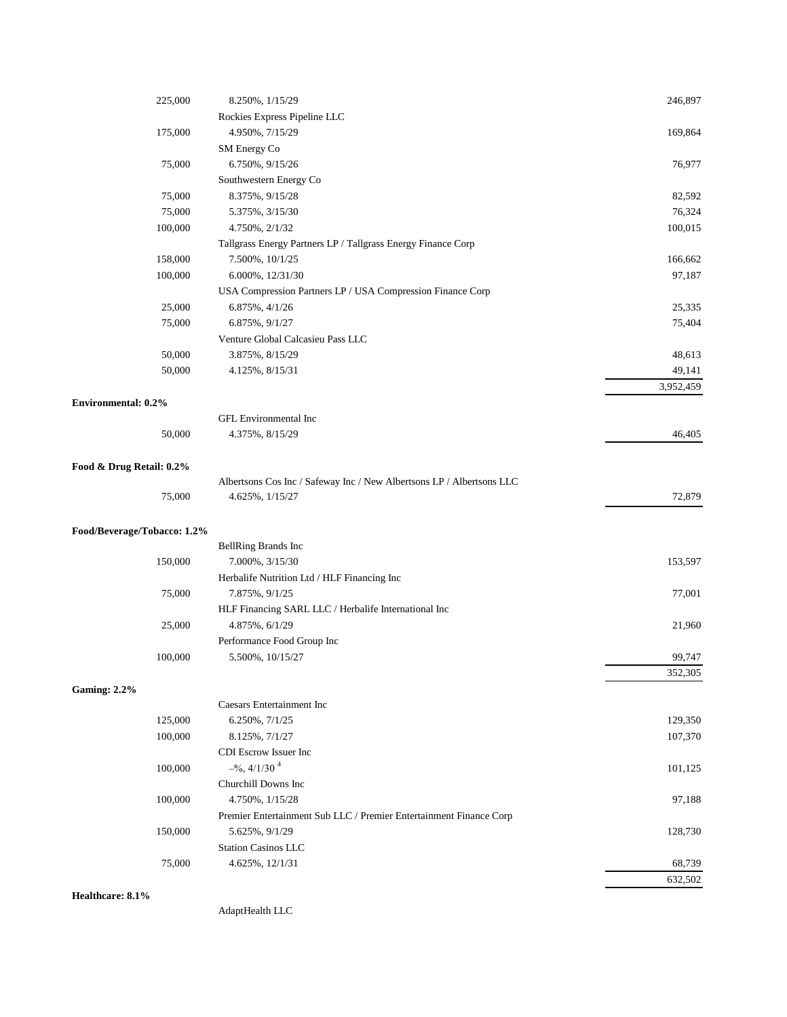| 225,000                     | 8.250%, 1/15/29                                                       | 246,897   |
|-----------------------------|-----------------------------------------------------------------------|-----------|
|                             | Rockies Express Pipeline LLC                                          |           |
| 175,000                     | 4.950%, 7/15/29                                                       | 169,864   |
|                             | SM Energy Co                                                          |           |
| 75,000                      | 6.750%, 9/15/26                                                       | 76,977    |
|                             | Southwestern Energy Co                                                |           |
| 75,000                      | 8.375%, 9/15/28                                                       | 82,592    |
| 75,000                      | 5.375%, 3/15/30                                                       | 76,324    |
| 100,000                     | 4.750%, 2/1/32                                                        | 100,015   |
|                             | Tallgrass Energy Partners LP / Tallgrass Energy Finance Corp          |           |
| 158,000                     | 7.500%, 10/1/25                                                       | 166,662   |
| 100,000                     | 6.000%, 12/31/30                                                      | 97,187    |
|                             | USA Compression Partners LP / USA Compression Finance Corp            |           |
| 25,000                      | 6.875%, 4/1/26                                                        | 25,335    |
| 75,000                      | 6.875%, $9/1/27$                                                      | 75,404    |
|                             | Venture Global Calcasieu Pass LLC                                     |           |
| 50,000                      | 3.875%, 8/15/29                                                       | 48,613    |
| 50,000                      | 4.125%, 8/15/31                                                       | 49,141    |
|                             |                                                                       | 3,952,459 |
| <b>Environmental: 0.2%</b>  |                                                                       |           |
|                             | GFL Environmental Inc                                                 |           |
| 50,000                      | 4.375%, 8/15/29                                                       | 46,405    |
| Food & Drug Retail: 0.2%    |                                                                       |           |
|                             | Albertsons Cos Inc / Safeway Inc / New Albertsons LP / Albertsons LLC |           |
| 75,000                      | 4.625%, 1/15/27                                                       | 72,879    |
| Food/Beverage/Tobacco: 1.2% |                                                                       |           |
|                             | BellRing Brands Inc                                                   |           |
| 150,000                     | 7.000%, 3/15/30                                                       | 153,597   |
|                             | Herbalife Nutrition Ltd / HLF Financing Inc                           |           |
| 75,000                      | 7.875%, $9/1/25$                                                      | 77,001    |
|                             | HLF Financing SARL LLC / Herbalife International Inc                  |           |
| 25,000                      | 4.875%, 6/1/29                                                        | 21,960    |
|                             | Performance Food Group Inc                                            |           |
| 100,000                     | 5.500%, 10/15/27                                                      | 99,747    |
|                             |                                                                       | 352,305   |
| <b>Gaming: 2.2%</b>         |                                                                       |           |
|                             | Caesars Entertainment Inc                                             |           |
| 125,000                     | 6.250%, 7/1/25                                                        | 129,350   |
| 100,000                     | 8.125%, 7/1/27                                                        | 107,370   |
|                             | CDI Escrow Issuer Inc                                                 |           |
| 100,000                     | $-$ %, 4/1/30 <sup>4</sup>                                            | 101,125   |
|                             | Churchill Downs Inc                                                   |           |
| 100,000                     | 4.750%, $1/15/28$                                                     | 97,188    |
|                             | Premier Entertainment Sub LLC / Premier Entertainment Finance Corp    |           |
| 150,000                     | 5.625%, $9/1/29$                                                      | 128,730   |
|                             | <b>Station Casinos LLC</b>                                            |           |
| 75,000                      | 4.625%, 12/1/31                                                       | 68,739    |
|                             |                                                                       | 632,502   |

**Healthcare: 8.1%**

AdaptHealth LLC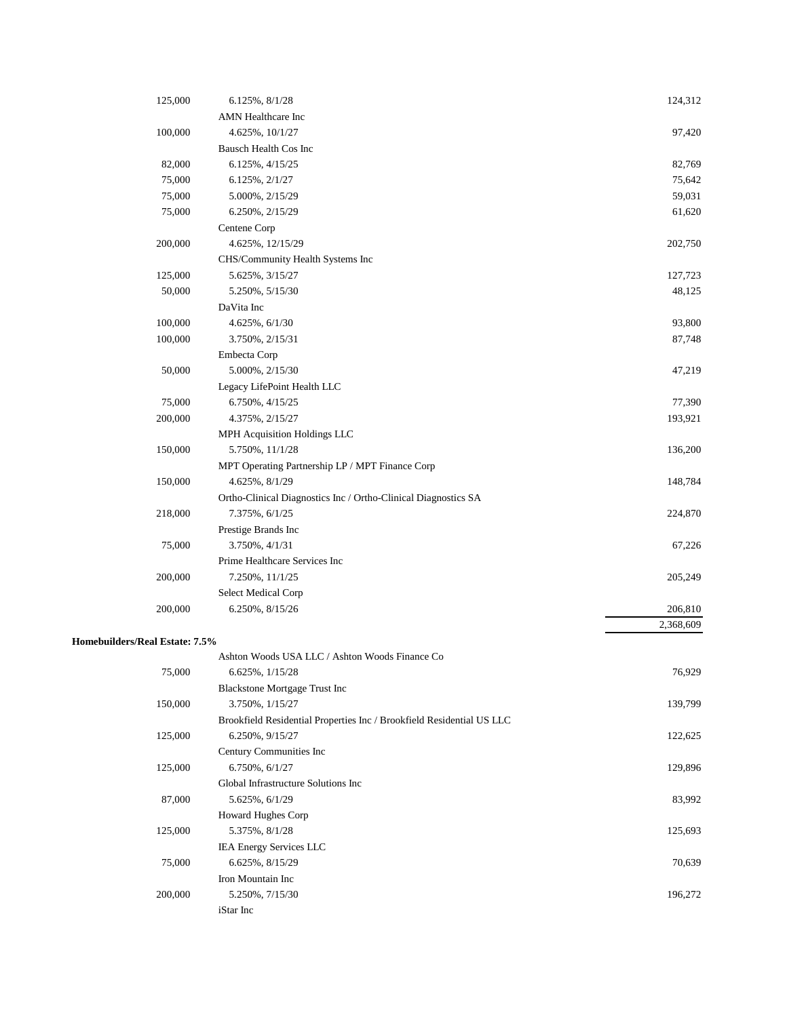| 125,000                        | 6.125%, 8/1/28                                                        | 124,312   |
|--------------------------------|-----------------------------------------------------------------------|-----------|
|                                | AMN Healthcare Inc                                                    |           |
| 100,000                        | 4.625%, 10/1/27                                                       | 97,420    |
|                                | Bausch Health Cos Inc                                                 |           |
| 82,000                         | 6.125%, 4/15/25                                                       | 82,769    |
| 75,000                         | 6.125%, 2/1/27                                                        | 75,642    |
| 75,000                         | 5.000%, 2/15/29                                                       | 59,031    |
| 75,000                         | 6.250%, 2/15/29                                                       | 61,620    |
|                                | Centene Corp                                                          |           |
| 200,000                        | 4.625%, 12/15/29                                                      | 202,750   |
|                                | CHS/Community Health Systems Inc                                      |           |
| 125,000                        | 5.625%, 3/15/27                                                       | 127,723   |
| 50,000                         | 5.250%, 5/15/30                                                       | 48,125    |
|                                | DaVita Inc                                                            |           |
| 100,000                        | 4.625%, 6/1/30                                                        | 93,800    |
| 100,000                        | 3.750%, 2/15/31                                                       | 87,748    |
|                                | Embecta Corp                                                          |           |
| 50,000                         | 5.000%, 2/15/30                                                       | 47,219    |
|                                | Legacy LifePoint Health LLC                                           |           |
| 75,000                         | 6.750%, 4/15/25                                                       | 77,390    |
| 200,000                        | 4.375%, 2/15/27                                                       | 193,921   |
|                                | MPH Acquisition Holdings LLC                                          |           |
| 150,000                        | 5.750%, 11/1/28                                                       | 136,200   |
|                                | MPT Operating Partnership LP / MPT Finance Corp                       |           |
| 150,000                        | 4.625%, 8/1/29                                                        | 148,784   |
|                                | Ortho-Clinical Diagnostics Inc / Ortho-Clinical Diagnostics SA        |           |
| 218,000                        | 7.375%, 6/1/25                                                        | 224,870   |
|                                | Prestige Brands Inc                                                   |           |
| 75,000                         | 3.750%, 4/1/31                                                        | 67,226    |
|                                | Prime Healthcare Services Inc                                         |           |
| 200,000                        | 7.250%, 11/1/25                                                       | 205,249   |
|                                | Select Medical Corp                                                   |           |
| 200,000                        | 6.250%, 8/15/26                                                       | 206,810   |
|                                |                                                                       | 2,368,609 |
| Homebuilders/Real Estate: 7.5% |                                                                       |           |
|                                | Ashton Woods USA LLC / Ashton Woods Finance Co                        |           |
| 75,000                         | 6.625%, 1/15/28                                                       | 76,929    |
|                                | <b>Blackstone Mortgage Trust Inc</b>                                  |           |
| 150,000                        | 3.750%, 1/15/27                                                       | 139,799   |
|                                | Brookfield Residential Properties Inc / Brookfield Residential US LLC |           |
| 125,000                        | 6.250%, 9/15/27                                                       | 122,625   |
|                                | Century Communities Inc                                               |           |
| 125,000                        | 6.750%, 6/1/27                                                        | 129,896   |
|                                | Global Infrastructure Solutions Inc                                   |           |
| 87,000                         | 5.625%, 6/1/29                                                        | 83,992    |
|                                | Howard Hughes Corp                                                    |           |
| 125,000                        | 5.375%, 8/1/28                                                        | 125,693   |
|                                | <b>IEA Energy Services LLC</b>                                        |           |
| 75,000                         | 6.625%, 8/15/29                                                       | 70,639    |
|                                | Iron Mountain Inc                                                     |           |
| 200,000                        | 5.250%, 7/15/30                                                       | 196,272   |
|                                | iStar Inc                                                             |           |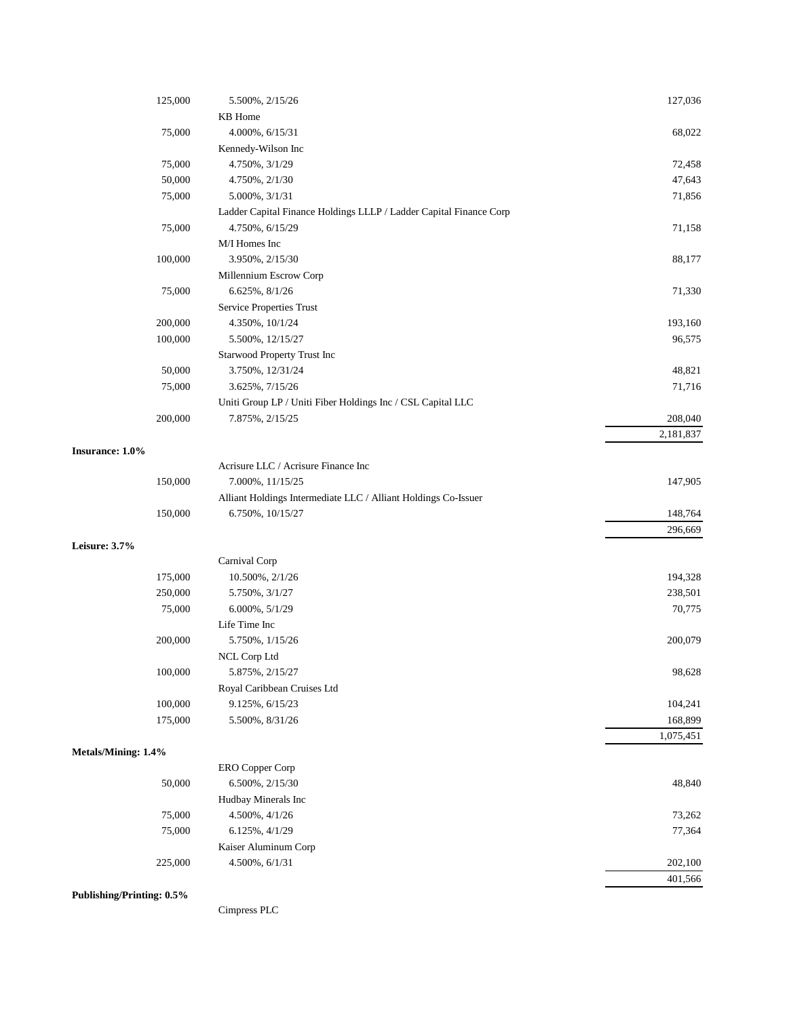| 125,000                          | 5.500%, 2/15/26                                                    | 127,036   |
|----------------------------------|--------------------------------------------------------------------|-----------|
|                                  | KB Home                                                            |           |
| 75,000                           | 4.000%, 6/15/31                                                    | 68,022    |
|                                  | Kennedy-Wilson Inc                                                 |           |
| 75,000                           | 4.750%, 3/1/29                                                     | 72,458    |
| 50,000                           | 4.750%, 2/1/30                                                     | 47,643    |
| 75,000                           | 5.000%, 3/1/31                                                     | 71,856    |
|                                  | Ladder Capital Finance Holdings LLLP / Ladder Capital Finance Corp |           |
| 75,000                           | 4.750%, 6/15/29                                                    | 71,158    |
|                                  | M/I Homes Inc                                                      |           |
| 100,000                          | 3.950%, 2/15/30                                                    | 88,177    |
|                                  | Millennium Escrow Corp                                             |           |
| 75,000                           | 6.625%, 8/1/26                                                     | 71,330    |
|                                  | Service Properties Trust                                           |           |
| 200,000                          | 4.350%, 10/1/24                                                    | 193,160   |
| 100,000                          | 5.500%, 12/15/27                                                   | 96,575    |
|                                  | Starwood Property Trust Inc                                        |           |
| 50,000                           | 3.750%, 12/31/24                                                   | 48,821    |
| 75,000                           | 3.625%, 7/15/26                                                    | 71,716    |
|                                  | Uniti Group LP / Uniti Fiber Holdings Inc / CSL Capital LLC        |           |
| 200,000                          | 7.875%, 2/15/25                                                    | 208,040   |
|                                  |                                                                    | 2,181,837 |
| Insurance: 1.0%                  |                                                                    |           |
|                                  | Acrisure LLC / Acrisure Finance Inc                                |           |
| 150,000                          | 7.000%, 11/15/25                                                   | 147,905   |
|                                  | Alliant Holdings Intermediate LLC / Alliant Holdings Co-Issuer     |           |
| 150,000                          | 6.750%, 10/15/27                                                   | 148,764   |
|                                  |                                                                    | 296,669   |
| Leisure: 3.7%                    |                                                                    |           |
|                                  | Carnival Corp                                                      |           |
| 175,000                          | 10.500%, 2/1/26                                                    | 194,328   |
| 250,000                          | 5.750%, 3/1/27                                                     | 238,501   |
| 75,000                           | $6.000\%, 5/1/29$                                                  | 70,775    |
|                                  | Life Time Inc                                                      |           |
| 200,000                          | 5.750%, 1/15/26                                                    | 200,079   |
|                                  | NCL Corp Ltd                                                       |           |
| 100,000                          | 5.875%, 2/15/27                                                    | 98,628    |
|                                  | Royal Caribbean Cruises Ltd                                        |           |
| 100,000                          | 9.125%, 6/15/23                                                    | 104,241   |
| 175,000                          | 5.500%, 8/31/26                                                    | 168,899   |
|                                  |                                                                    | 1,075,451 |
| Metals/Mining: 1.4%              |                                                                    |           |
|                                  | ERO Copper Corp                                                    |           |
| 50,000                           | 6.500%, 2/15/30                                                    | 48,840    |
|                                  | Hudbay Minerals Inc                                                |           |
| 75,000                           | 4.500%, 4/1/26                                                     | 73,262    |
| 75,000                           | $6.125\%, 4/1/29$                                                  | 77,364    |
|                                  | Kaiser Aluminum Corp                                               |           |
| 225,000                          | 4.500%, 6/1/31                                                     | 202,100   |
|                                  |                                                                    | 401,566   |
| <b>Publishing/Printing: 0.5%</b> |                                                                    |           |

Cimpress PLC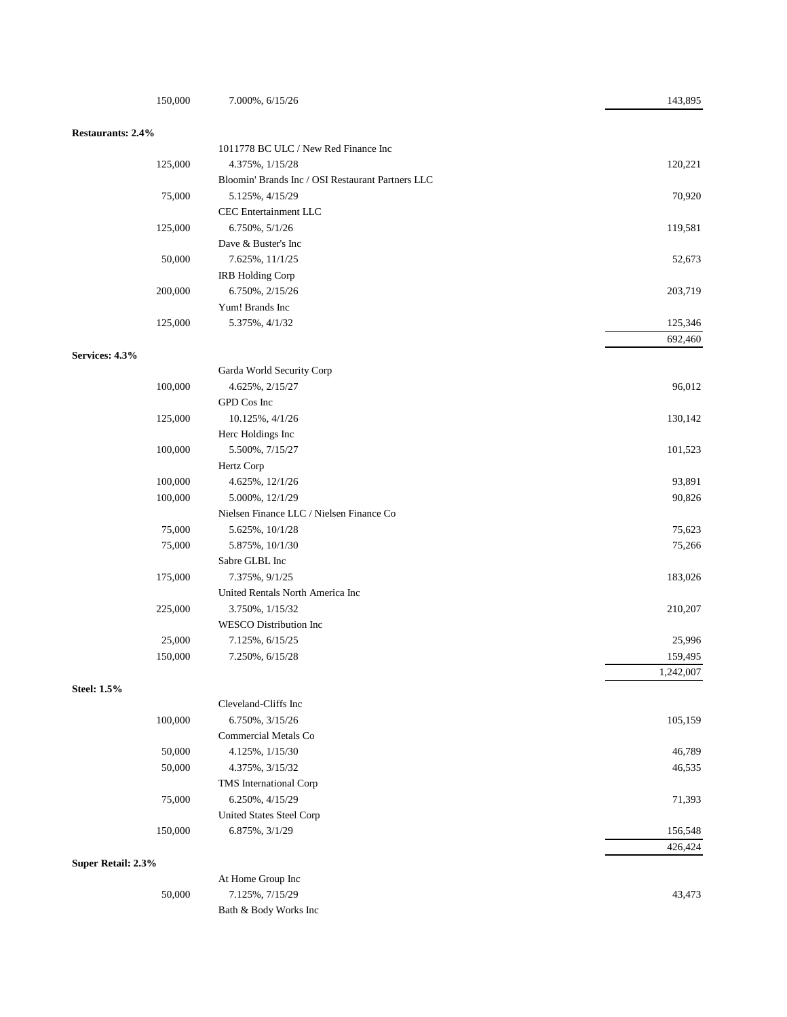| 150,000            | 7.000%, 6/15/26                                   | 143,895            |
|--------------------|---------------------------------------------------|--------------------|
| Restaurants: 2.4%  |                                                   |                    |
|                    | 1011778 BC ULC / New Red Finance Inc              |                    |
| 125,000            | 4.375%, $1/15/28$                                 | 120,221            |
|                    | Bloomin' Brands Inc / OSI Restaurant Partners LLC |                    |
| 75,000             | 5.125%, 4/15/29                                   | 70,920             |
|                    | CEC Entertainment LLC                             |                    |
| 125,000            | 6.750%, 5/1/26                                    | 119,581            |
|                    | Dave & Buster's Inc                               |                    |
| 50,000             | 7.625%, 11/1/25                                   | 52,673             |
|                    | IRB Holding Corp                                  |                    |
| 200,000            | 6.750%, 2/15/26                                   | 203,719            |
|                    | Yum! Brands Inc                                   |                    |
| 125,000            | 5.375%, 4/1/32                                    | 125,346            |
|                    |                                                   | 692,460            |
| Services: 4.3%     |                                                   |                    |
|                    | Garda World Security Corp                         |                    |
| 100,000            | 4.625%, 2/15/27<br>GPD Cos Inc                    | 96,012             |
|                    |                                                   | 130,142            |
| 125,000            | 10.125%, 4/1/26                                   |                    |
|                    | Herc Holdings Inc                                 |                    |
| 100,000            | 5.500%, 7/15/27<br>Hertz Corp                     | 101,523            |
| 100,000            | 4.625%, 12/1/26                                   | 93,891             |
| 100,000            | 5.000%, 12/1/29                                   | 90,826             |
|                    | Nielsen Finance LLC / Nielsen Finance Co          |                    |
| 75,000             | 5.625%, 10/1/28                                   | 75,623             |
| 75,000             | 5.875%, 10/1/30                                   | 75,266             |
|                    | Sabre GLBL Inc                                    |                    |
| 175,000            | 7.375%, $9/1/25$                                  | 183,026            |
|                    | United Rentals North America Inc                  |                    |
| 225,000            | 3.750%, 1/15/32                                   | 210,207            |
|                    | <b>WESCO</b> Distribution Inc                     |                    |
| 25,000             | 7.125%, 6/15/25                                   | 25,996             |
| 150,000            | 7.250%, 6/15/28                                   | 159,495            |
|                    |                                                   | 1,242,007          |
| <b>Steel: 1.5%</b> |                                                   |                    |
|                    | Cleveland-Cliffs Inc                              |                    |
| 100,000            | 6.750%, 3/15/26                                   | 105,159            |
|                    | Commercial Metals Co                              |                    |
| 50,000             | 4.125%, 1/15/30                                   | 46,789             |
| 50,000             | 4.375%, 3/15/32                                   | 46,535             |
|                    | TMS International Corp                            |                    |
| 75,000             | 6.250%, 4/15/29                                   | 71,393             |
|                    | <b>United States Steel Corp</b>                   |                    |
| 150,000            | 6.875%, 3/1/29                                    | 156,548<br>426,424 |
| Super Retail: 2.3% |                                                   |                    |
|                    | At Home Group Inc                                 |                    |
| 50,000             | 7.125%, 7/15/29                                   | 43,473             |
|                    | Bath & Body Works Inc                             |                    |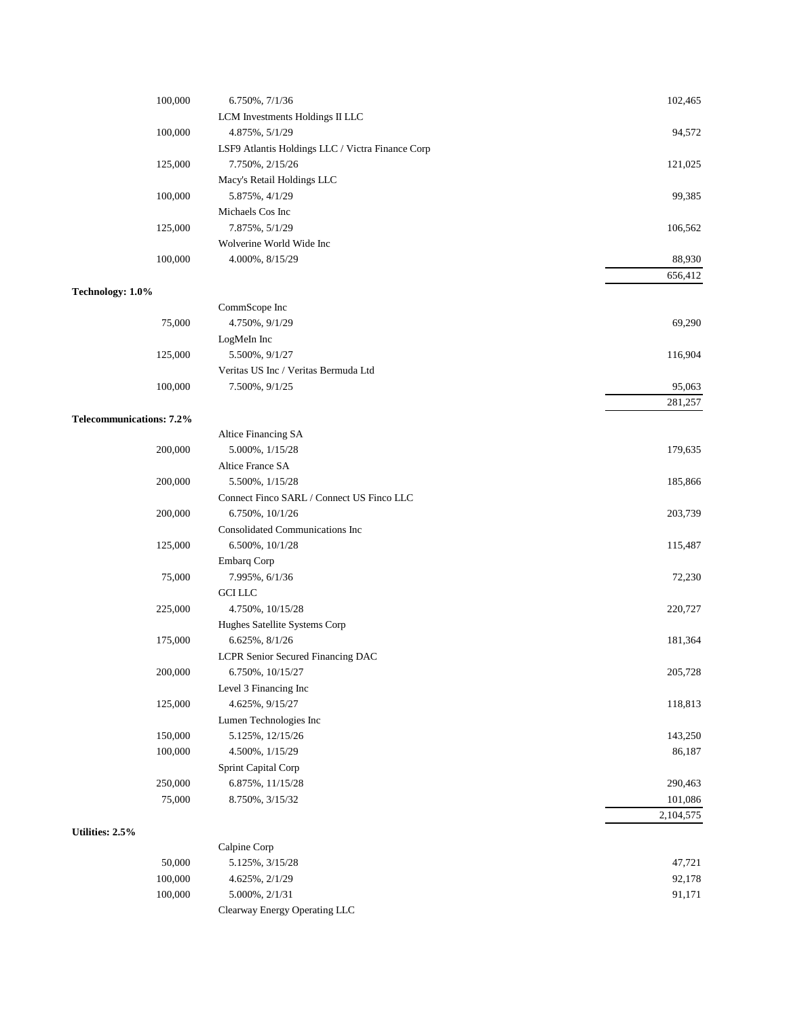| 100,000                         | 6.750%, 7/1/36                                   | 102,465   |
|---------------------------------|--------------------------------------------------|-----------|
|                                 | LCM Investments Holdings II LLC                  |           |
| 100,000                         | 4.875%, 5/1/29                                   | 94,572    |
|                                 | LSF9 Atlantis Holdings LLC / Victra Finance Corp |           |
| 125,000                         | 7.750%, 2/15/26                                  | 121,025   |
|                                 | Macy's Retail Holdings LLC                       |           |
| 100,000                         | 5.875%, 4/1/29                                   | 99,385    |
|                                 | Michaels Cos Inc                                 |           |
| 125,000                         | 7.875%, 5/1/29                                   | 106,562   |
|                                 | Wolverine World Wide Inc                         |           |
| 100,000                         | 4.000%, 8/15/29                                  | 88,930    |
|                                 |                                                  | 656,412   |
| Technology: 1.0%                |                                                  |           |
|                                 | CommScope Inc                                    |           |
| 75,000                          | 4.750%, 9/1/29                                   | 69,290    |
|                                 | LogMeIn Inc                                      |           |
| 125,000                         | 5.500%, 9/1/27                                   | 116,904   |
|                                 | Veritas US Inc / Veritas Bermuda Ltd             |           |
| 100,000                         | 7.500%, $9/1/25$                                 | 95,063    |
|                                 |                                                  | 281,257   |
| <b>Telecommunications: 7.2%</b> |                                                  |           |
|                                 | Altice Financing SA                              |           |
| 200,000                         | 5.000%, 1/15/28                                  | 179,635   |
|                                 | Altice France SA                                 |           |
| 200,000                         | 5.500%, 1/15/28                                  | 185,866   |
|                                 | Connect Finco SARL / Connect US Finco LLC        |           |
| 200,000                         | 6.750%, 10/1/26                                  | 203,739   |
|                                 | Consolidated Communications Inc                  |           |
| 125,000                         | 6.500%, 10/1/28                                  | 115,487   |
|                                 | <b>Embarq Corp</b>                               |           |
| 75,000                          | 7.995%, 6/1/36                                   | 72,230    |
|                                 | <b>GCI LLC</b>                                   |           |
| 225,000                         | 4.750%, 10/15/28                                 | 220,727   |
|                                 | Hughes Satellite Systems Corp                    |           |
| 175,000                         | 6.625%, 8/1/26                                   | 181,364   |
|                                 | LCPR Senior Secured Financing DAC                |           |
| 200,000                         | 6.750%, 10/15/27                                 | 205,728   |
|                                 | Level 3 Financing Inc                            |           |
| 125,000                         | 4.625%, 9/15/27                                  | 118,813   |
|                                 | Lumen Technologies Inc                           |           |
| 150,000                         | 5.125%, 12/15/26                                 | 143,250   |
| 100,000                         | 4.500%, 1/15/29                                  | 86,187    |
|                                 | Sprint Capital Corp                              |           |
| 250,000                         | 6.875%, 11/15/28                                 | 290,463   |
| 75,000                          | 8.750%, 3/15/32                                  | 101,086   |
|                                 |                                                  | 2,104,575 |
| Utilities: 2.5%                 |                                                  |           |
|                                 | Calpine Corp                                     |           |
| 50,000                          | 5.125%, 3/15/28                                  | 47,721    |
| 100,000                         | 4.625%, 2/1/29                                   | 92,178    |
| 100,000                         | 5.000%, 2/1/31                                   | 91,171    |
|                                 | Clearway Energy Operating LLC                    |           |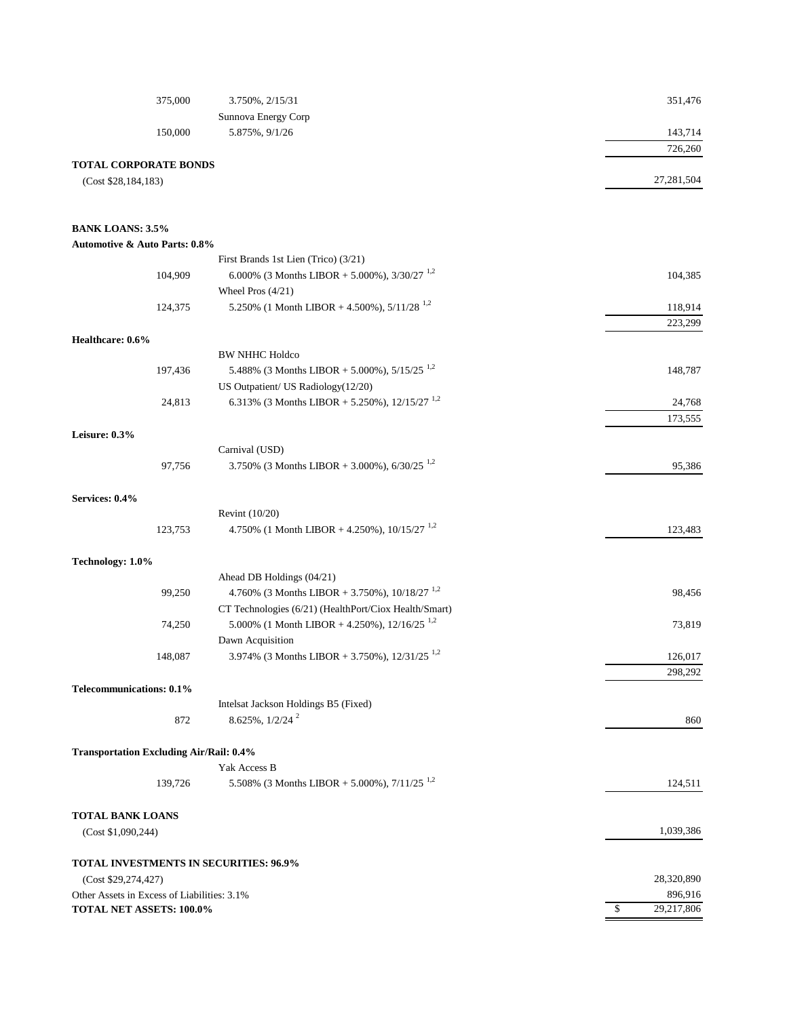| 375,000                                        | 3.750%, 2/15/31                                             | 351,476          |
|------------------------------------------------|-------------------------------------------------------------|------------------|
|                                                | Sunnova Energy Corp                                         |                  |
| 150,000                                        | 5.875%, $9/1/26$                                            | 143,714          |
|                                                |                                                             | 726,260          |
| <b>TOTAL CORPORATE BONDS</b>                   |                                                             |                  |
| (Cost \$28,184,183)                            |                                                             | 27,281,504       |
|                                                |                                                             |                  |
| <b>BANK LOANS: 3.5%</b>                        |                                                             |                  |
| <b>Automotive &amp; Auto Parts: 0.8%</b>       |                                                             |                  |
|                                                | First Brands 1st Lien (Trico) (3/21)                        |                  |
| 104,909                                        | 6.000% (3 Months LIBOR + 5.000%), $3/30/27$ <sup>1,2</sup>  | 104,385          |
|                                                | Wheel Pros $(4/21)$                                         |                  |
| 124,375                                        | 5.250% (1 Month LIBOR + 4.500%), $5/11/28$ <sup>1,2</sup>   | 118,914          |
|                                                |                                                             | 223,299          |
| Healthcare: 0.6%                               |                                                             |                  |
|                                                | <b>BW NHHC Holdco</b>                                       |                  |
| 197,436                                        | 5.488% (3 Months LIBOR + 5.000%), $5/15/25$ <sup>1,2</sup>  | 148,787          |
|                                                | US Outpatient/ US Radiology(12/20)                          |                  |
| 24,813                                         | 6.313% (3 Months LIBOR + 5.250%), $12/15/27$ <sup>1,2</sup> | 24,768           |
|                                                |                                                             | 173,555          |
| Leisure: 0.3%                                  |                                                             |                  |
|                                                | Carnival (USD)                                              |                  |
| 97,756                                         | 3.750% (3 Months LIBOR + 3.000%), $6/30/25$ <sup>1,2</sup>  | 95,386           |
| Services: 0.4%                                 |                                                             |                  |
|                                                | Revint (10/20)                                              |                  |
| 123,753                                        | 4.750% (1 Month LIBOR + 4.250%), $10/15/27$ <sup>1,2</sup>  | 123,483          |
|                                                |                                                             |                  |
| Technology: 1.0%                               |                                                             |                  |
|                                                | Ahead DB Holdings (04/21)                                   |                  |
| 99,250                                         | 4.760% (3 Months LIBOR + 3.750%), $10/18/27$ <sup>1,2</sup> | 98,456           |
|                                                | CT Technologies (6/21) (HealthPort/Ciox Health/Smart)       |                  |
| 74,250                                         | 5.000% (1 Month LIBOR + 4.250%), $12/16/25$ <sup>1,2</sup>  | 73,819           |
|                                                | Dawn Acquisition                                            |                  |
| 148,087                                        | 3.974% (3 Months LIBOR + 3.750%), $12/31/25$ <sup>1,2</sup> | 126,017          |
|                                                |                                                             | 298,292          |
| Telecommunications: 0.1%                       |                                                             |                  |
|                                                | Intelsat Jackson Holdings B5 (Fixed)                        |                  |
| 872                                            | 8.625%, 1/2/24 <sup>2</sup>                                 | 860              |
| <b>Transportation Excluding Air/Rail: 0.4%</b> |                                                             |                  |
|                                                | Yak Access B                                                |                  |
| 139,726                                        | 5.508% (3 Months LIBOR + 5.000%), $7/11/25$ <sup>1,2</sup>  | 124,511          |
|                                                |                                                             |                  |
| <b>TOTAL BANK LOANS</b>                        |                                                             |                  |
| (Cost \$1,090,244)                             |                                                             | 1,039,386        |
| <b>TOTAL INVESTMENTS IN SECURITIES: 96.9%</b>  |                                                             |                  |
| (Cost \$29,274,427)                            |                                                             | 28,320,890       |
| Other Assets in Excess of Liabilities: 3.1%    |                                                             | 896,916          |
| TOTAL NET ASSETS: 100.0%                       |                                                             | 29,217,806<br>\$ |
|                                                |                                                             |                  |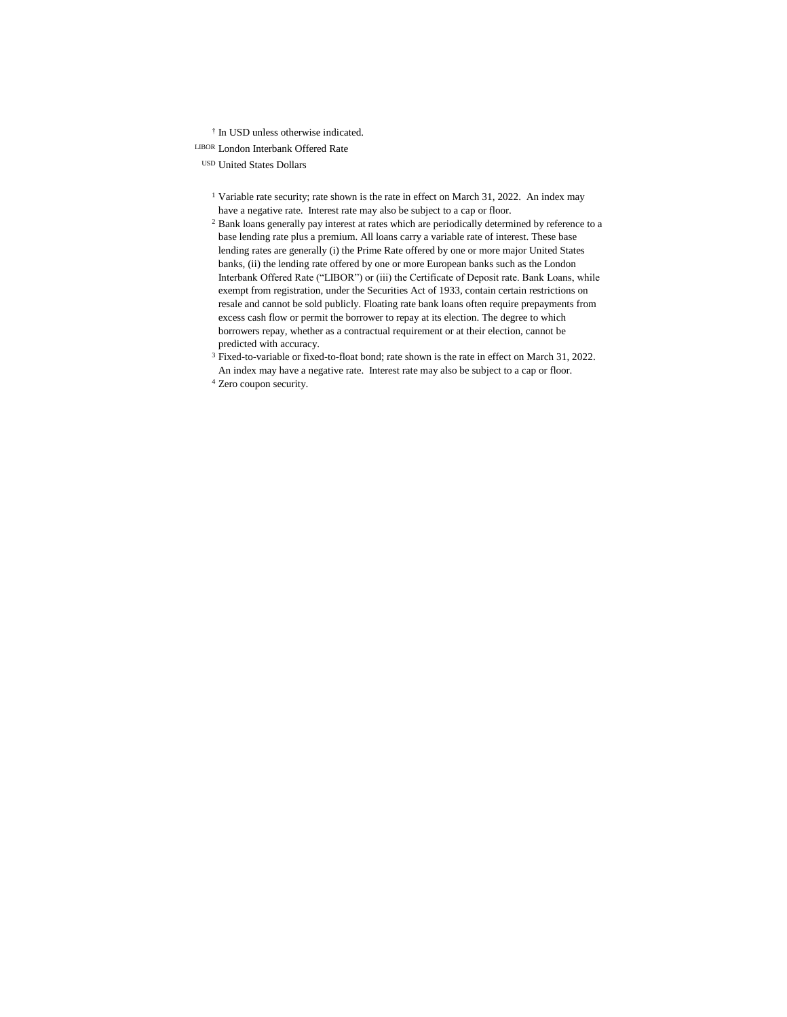† In USD unless otherwise indicated.

LIBOR London Interbank Offered Rate

USD United States Dollars

- <sup>1</sup> Variable rate security; rate shown is the rate in effect on March 31, 2022. An index may have a negative rate. Interest rate may also be subject to a cap or floor.
- <sup>2</sup> Bank loans generally pay interest at rates which are periodically determined by reference to a base lending rate plus a premium. All loans carry a variable rate of interest. These base lending rates are generally (i) the Prime Rate offered by one or more major United States banks, (ii) the lending rate offered by one or more European banks such as the London Interbank Offered Rate ("LIBOR") or (iii) the Certificate of Deposit rate. Bank Loans, while exempt from registration, under the Securities Act of 1933, contain certain restrictions on resale and cannot be sold publicly. Floating rate bank loans often require prepayments from excess cash flow or permit the borrower to repay at its election. The degree to which borrowers repay, whether as a contractual requirement or at their election, cannot be predicted with accuracy.
- <sup>3</sup> Fixed-to-variable or fixed-to-float bond; rate shown is the rate in effect on March 31, 2022. An index may have a negative rate. Interest rate may also be subject to a cap or floor.
- <sup>4</sup> Zero coupon security.